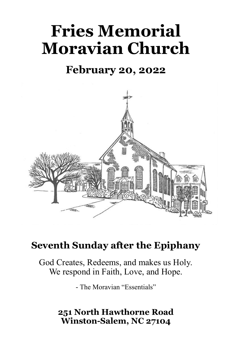# **Fries Memorial Moravian Church**

# **February 20, 2022**



# **Seventh Sunday after the Epiphany**

God Creates, Redeems, and makes us Holy. We respond in Faith, Love, and Hope.

- The Moravian "Essentials"

## **251 North Hawthorne Road Winston-Salem, NC 27104**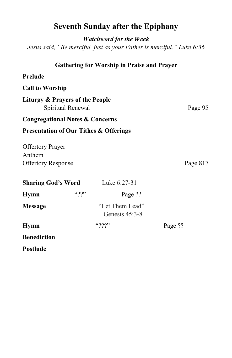|                                                                                                                                                             | <b>Seventh Sunday after the Epiphany</b> |          |
|-------------------------------------------------------------------------------------------------------------------------------------------------------------|------------------------------------------|----------|
| <b>Watchword for the Week</b><br>Jesus said, "Be merciful, just as your Father is merciful." Luke 6:36<br><b>Gathering for Worship in Praise and Prayer</b> |                                          |          |
|                                                                                                                                                             |                                          |          |
| <b>Call to Worship</b>                                                                                                                                      |                                          |          |
| <b>Liturgy &amp; Prayers of the People</b><br>Spiritual Renewal                                                                                             |                                          | Page 95  |
| <b>Congregational Notes &amp; Concerns</b>                                                                                                                  |                                          |          |
| <b>Presentation of Our Tithes &amp; Offerings</b>                                                                                                           |                                          |          |
| <b>Offertory Prayer</b><br>Anthem<br><b>Offertory Response</b>                                                                                              |                                          | Page 817 |
| <b>Sharing God's Word</b>                                                                                                                                   | Luke 6:27-31                             |          |
| $\lq\lq\lq\lq\lq\lq\lq$<br><b>Hymn</b>                                                                                                                      | Page ??                                  |          |
| <b>Message</b>                                                                                                                                              | "Let Them Lead"<br>Genesis $45:3-8$      |          |
| <b>Hymn</b>                                                                                                                                                 | $``\gamma\gamma\gamma"$                  | Page ??  |
| <b>Benediction</b>                                                                                                                                          |                                          |          |

**Postlude**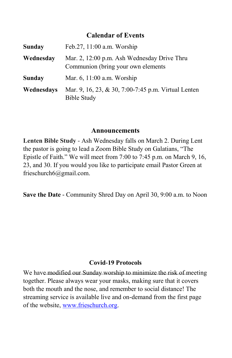#### **Calendar of Events**

| Sunday     | Feb.27, 11:00 a.m. Worship                                                         |  |
|------------|------------------------------------------------------------------------------------|--|
| Wednesday  | Mar. 2, 12:00 p.m. Ash Wednesday Drive Thru<br>Communion (bring your own elements) |  |
| Sunday     | Mar. 6, 11:00 a.m. Worship                                                         |  |
| Wednesdays | Mar. 9, 16, 23, & 30, 7:00-7:45 p.m. Virtual Lenten<br><b>Bible Study</b>          |  |

#### **Announcements**

**Lenten Bible Study** - Ash Wednesday falls on March 2. During Lent the pastor is going to lead a Zoom Bible Study on Galatians, "The Epistle of Faith." We will meet from 7:00 to 7:45 p.m. on March 9, 16, 23, and 30. If you would you like to participate email Pastor Green at frieschurch6@gmail.com.

**Save the Date** - Community Shred Day on April 30, 9:00 a.m. to Noon

#### **Covid-19 Protocols**

We have modified our Sunday worship to minimize the risk of meeting together. Please always wear your masks, making sure that it covers both the mouth and the nose, and remember to social distance! The streaming service is available live and on-demand from the first page of the website, [www.frieschurch.org.](http://www.frieschurch.org)